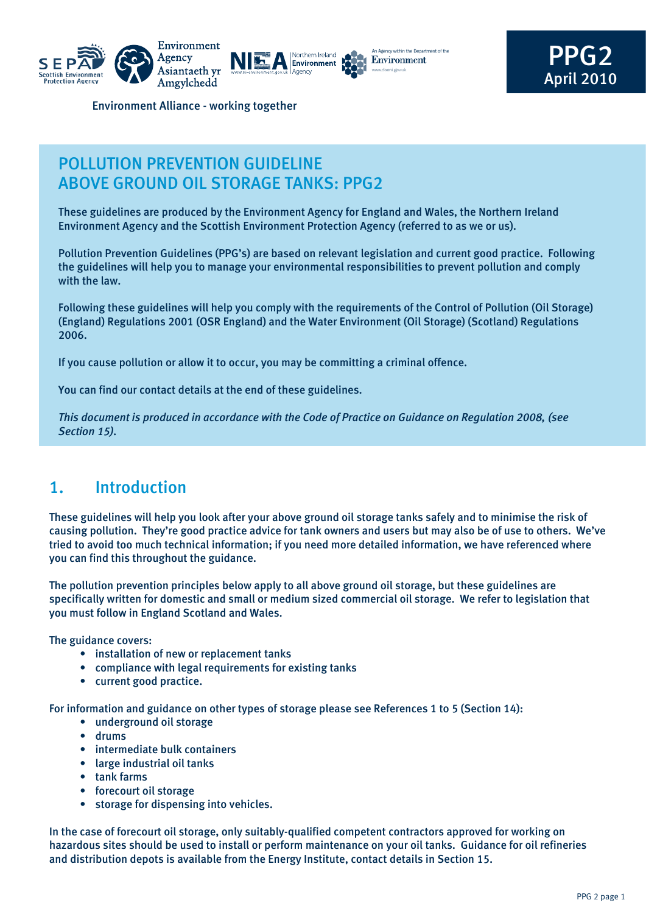





PPG2 April 2010

Environment Alliance - working together

## POLLUTION PREVENTION GUIDELINE Above Ground Oil Storage Tanks: PPG2

These guidelines are produced by the Environment Agency for England and Wales, the Northern Ireland Environment Agency and the Scottish Environment Protection Agency (referred to as we or us).

Pollution Prevention Guidelines (PPG's) are based on relevant legislation and current good practice. Following the guidelines will help you to manage your environmental responsibilities to prevent pollution and comply with the law.

Following these guidelines will help you comply with the requirements of the Control of Pollution (Oil Storage) (England) Regulations 2001 (OSR England) and the Water Environment (Oil Storage) (Scotland) Regulations 2006.

If you cause pollution or allow it to occur, you may be committing a criminal offence.

You can find our contact details at the end of these guidelines.

*This document is produced in accordance with the Code of Practice on Guidance on Regulation 2008, (see Section 15).*

# 1. Introduction

These guidelines will help you look after your above ground oil storage tanks safely and to minimise the risk of causing pollution. They're good practice advice for tank owners and users but may also be of use to others. We've tried to avoid too much technical information; if you need more detailed information, we have referenced where you can find this throughout the guidance.

The pollution prevention principles below apply to all above ground oil storage, but these guidelines are specifically written for domestic and small or medium sized commercial oil storage. We refer to legislation that you must follow in England Scotland and Wales.

The guidance covers:

- installation of new or replacement tanks
- compliance with legal requirements for existing tanks
- current good practice.

For information and guidance on other types of storage please see References 1 to 5 (Section 14):

- underground oil storage
- drums
- intermediate bulk containers
- large industrial oil tanks
- tank farms
- forecourt oil storage
- storage for dispensing into vehicles.

In the case of forecourt oil storage, only suitably-qualified competent contractors approved for working on hazardous sites should be used to install or perform maintenance on your oil tanks. Guidance for oil refineries and distribution depots is available from the Energy Institute, contact details in Section 15.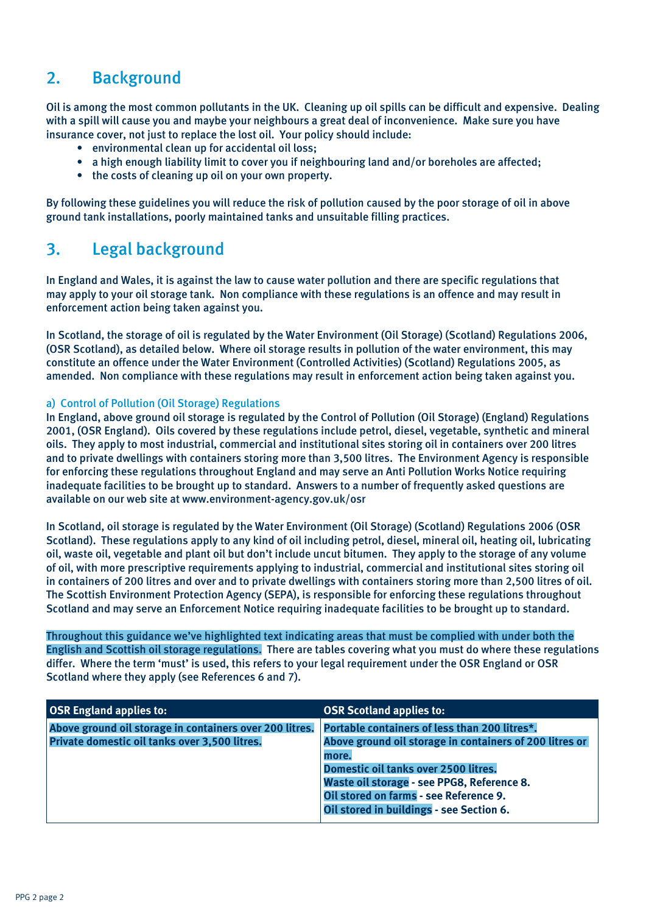## 2. Background

Oil is among the most common pollutants in the UK. Cleaning up oil spills can be difficult and expensive. Dealing with a spill will cause you and maybe your neighbours a great deal of inconvenience. Make sure you have insurance cover, not just to replace the lost oil. Your policy should include:

- environmental clean up for accidental oil loss;
- a high enough liability limit to cover you if neighbouring land and/or boreholes are affected;
- the costs of cleaning up oil on your own property.

By following these guidelines you will reduce the risk of pollution caused by the poor storage of oil in above ground tank installations, poorly maintained tanks and unsuitable filling practices.

## 3. Legal background

In England and Wales, it is against the law to cause water pollution and there are specific regulations that may apply to your oil storage tank. Non compliance with these regulations is an offence and may result in enforcement action being taken against you.

In Scotland, the storage of oil is regulated by the Water Environment (Oil Storage) (Scotland) Regulations 2006, (OSR Scotland), as detailed below. Where oil storage results in pollution of the water environment, this may constitute an offence under the Water Environment (Controlled Activities) (Scotland) Regulations 2005, as amended. Non compliance with these regulations may result in enforcement action being taken against you.

## a) Control of Pollution (Oil Storage) Regulations

In England, above ground oil storage is regulated by the Control of Pollution (Oil Storage) (England) Regulations 2001, (OSR England). Oils covered by these regulations include petrol, diesel, vegetable, synthetic and mineral oils. They apply to most industrial, commercial and institutional sites storing oil in containers over 200 litres and to private dwellings with containers storing more than 3,500 litres. The Environment Agency is responsible for enforcing these regulations throughout England and may serve an Anti Pollution Works Notice requiring inadequate facilities to be brought up to standard. Answers to a number of frequently asked questions are available on our web site at www.environment-agency.gov.uk/osr

In Scotland, oil storage is regulated by the Water Environment (Oil Storage) (Scotland) Regulations 2006 (OSR Scotland). These regulations apply to any kind of oil including petrol, diesel, mineral oil, heating oil, lubricating oil, waste oil, vegetable and plant oil but don't include uncut bitumen. They apply to the storage of any volume of oil, with more prescriptive requirements applying to industrial, commercial and institutional sites storing oil in containers of 200 litres and over and to private dwellings with containers storing more than 2,500 litres of oil. The Scottish Environment Protection Agency (SEPA), is responsible for enforcing these regulations throughout Scotland and may serve an Enforcement Notice requiring inadequate facilities to be brought up to standard.

Throughout this guidance we've highlighted text indicating areas that must be complied with under both the English and Scottish oil storage regulations. There are tables covering what you must do where these regulations differ. Where the term 'must' is used, this refers to your legal requirement under the OSR England or OSR Scotland where they apply (see References 6 and 7).

| <b>OSR England applies to:</b>                                                                           | <b>OSR Scotland applies to:</b>                                                                                                                                                                                                                                                               |
|----------------------------------------------------------------------------------------------------------|-----------------------------------------------------------------------------------------------------------------------------------------------------------------------------------------------------------------------------------------------------------------------------------------------|
| Above ground oil storage in containers over 200 litres.<br>Private domestic oil tanks over 3,500 litres. | Portable containers of less than 200 litres*.<br>Above ground oil storage in containers of 200 litres or<br>more.<br>Domestic oil tanks over 2500 litres.<br>Waste oil storage - see PPG8, Reference 8.<br>Oil stored on farms - see Reference 9.<br>Oil stored in buildings - see Section 6. |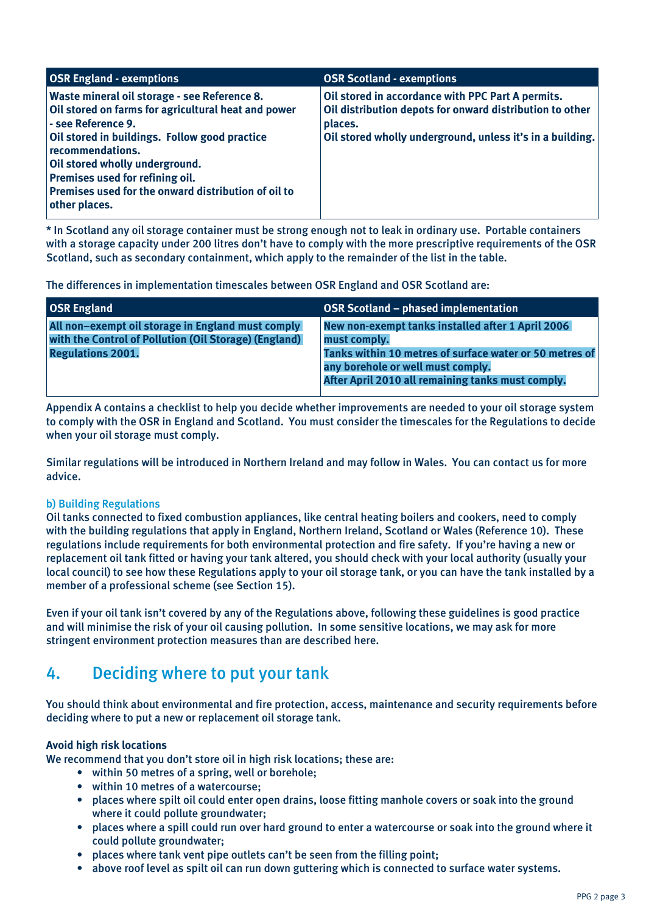| <b>OSR England - exemptions</b>                                                                                                                                                                                                                                                                                                             | <b>OSR Scotland - exemptions</b>                                                                                                                                                      |
|---------------------------------------------------------------------------------------------------------------------------------------------------------------------------------------------------------------------------------------------------------------------------------------------------------------------------------------------|---------------------------------------------------------------------------------------------------------------------------------------------------------------------------------------|
| Waste mineral oil storage - see Reference 8.<br>Oil stored on farms for agricultural heat and power<br>- see Reference 9.<br>Oil stored in buildings. Follow good practice<br>recommendations.<br>Oil stored wholly underground.<br>Premises used for refining oil.<br>Premises used for the onward distribution of oil to<br>other places. | Oil stored in accordance with PPC Part A permits.<br>Oil distribution depots for onward distribution to other<br>places.<br>Oil stored wholly underground, unless it's in a building. |

\* In Scotland any oil storage container must be strong enough not to leak in ordinary use. Portable containers with a storage capacity under 200 litres don't have to comply with the more prescriptive requirements of the OSR Scotland, such as secondary containment, which apply to the remainder of the list in the table.

The differences in implementation timescales between OSR England and OSR Scotland are:

| <b>OSR England</b>                                                                                                                     | OSR Scotland – phased implementation                                                                                                                                                                                   |
|----------------------------------------------------------------------------------------------------------------------------------------|------------------------------------------------------------------------------------------------------------------------------------------------------------------------------------------------------------------------|
| All non-exempt oil storage in England must comply<br>with the Control of Pollution (Oil Storage) (England)<br><b>Regulations 2001.</b> | New non-exempt tanks installed after 1 April 2006<br>must comply.<br>Tanks within 10 metres of surface water or 50 metres of<br>any borehole or well must comply.<br>After April 2010 all remaining tanks must comply. |
|                                                                                                                                        |                                                                                                                                                                                                                        |

Appendix A contains a checklist to help you decide whether improvements are needed to your oil storage system to comply with the OSR in England and Scotland. You must consider the timescales for the Regulations to decide when your oil storage must comply.

Similar regulations will be introduced in Northern Ireland and may follow in Wales. You can contact us for more advice.

### b) Building Regulations

Oil tanks connected to fixed combustion appliances, like central heating boilers and cookers, need to comply with the building regulations that apply in England, Northern Ireland, Scotland or Wales (Reference 10). These regulations include requirements for both environmental protection and fire safety. If you're having a new or replacement oil tank fitted or having your tank altered, you should check with your local authority (usually your local council) to see how these Regulations apply to your oil storage tank, or you can have the tank installed by a member of a professional scheme (see Section 15).

Even if your oil tank isn't covered by any of the Regulations above, following these guidelines is good practice and will minimise the risk of your oil causing pollution. In some sensitive locations, we may ask for more stringent environment protection measures than are described here.

# 4. Deciding where to put your tank

You should think about environmental and fire protection, access, maintenance and security requirements before deciding where to put a new or replacement oil storage tank.

## **Avoid high risk locations**

We recommend that you don't store oil in high risk locations; these are:

- within 50 metres of a spring, well or borehole;
- within 10 metres of a watercourse;
- places where spilt oil could enter open drains, loose fitting manhole covers or soak into the ground where it could pollute groundwater;
- places where a spill could run over hard ground to enter a watercourse or soak into the ground where it could pollute groundwater;
- places where tank vent pipe outlets can't be seen from the filling point;
- above roof level as spilt oil can run down guttering which is connected to surface water systems.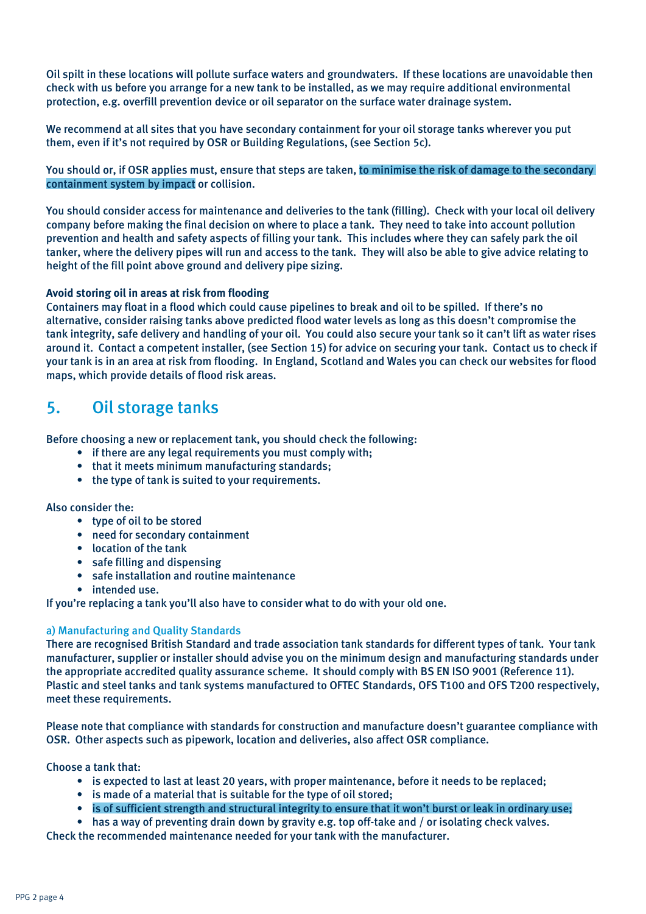Oil spilt in these locations will pollute surface waters and groundwaters. If these locations are unavoidable then check with us before you arrange for a new tank to be installed, as we may require additional environmental protection, e.g. overfill prevention device or oil separator on the surface water drainage system.

We recommend at all sites that you have secondary containment for your oil storage tanks wherever you put them, even if it's not required by OSR or Building Regulations, (see Section 5c).

You should or, if OSR applies must, ensure that steps are taken, to minimise the risk of damage to the secondary containment system by impact or collision.

You should consider access for maintenance and deliveries to the tank (filling). Check with your local oil delivery company before making the final decision on where to place a tank. They need to take into account pollution prevention and health and safety aspects of filling your tank. This includes where they can safely park the oil tanker, where the delivery pipes will run and access to the tank. They will also be able to give advice relating to height of the fill point above ground and delivery pipe sizing.

## **Avoid storing oil in areas at risk from flooding**

Containers may float in a flood which could cause pipelines to break and oil to be spilled. If there's no alternative, consider raising tanks above predicted flood water levels as long as this doesn't compromise the tank integrity, safe delivery and handling of your oil. You could also secure your tank so it can't lift as water rises around it. Contact a competent installer, (see Section 15) for advice on securing your tank. Contact us to check if your tank is in an area at risk from flooding. In England, Scotland and Wales you can check our websites for flood maps, which provide details of flood risk areas.

## 5. Oil storage tanks

Before choosing a new or replacement tank, you should check the following:

- if there are any legal requirements you must comply with;
- that it meets minimum manufacturing standards;
- the type of tank is suited to your requirements.

### Also consider the:

- type of oil to be stored
- need for secondary containment
- location of the tank
- safe filling and dispensing
- safe installation and routine maintenance
- intended use.

If you're replacing a tank you'll also have to consider what to do with your old one.

## a) Manufacturing and Quality Standards

There are recognised British Standard and trade association tank standards for different types of tank. Your tank manufacturer, supplier or installer should advise you on the minimum design and manufacturing standards under the appropriate accredited quality assurance scheme. It should comply with BS EN ISO 9001 (Reference 11). Plastic and steel tanks and tank systems manufactured to OFTEC Standards, OFS T100 and OFS T200 respectively, meet these requirements.

Please note that compliance with standards for construction and manufacture doesn't guarantee compliance with OSR. Other aspects such as pipework, location and deliveries, also affect OSR compliance.

Choose a tank that:

- is expected to last at least 20 years, with proper maintenance, before it needs to be replaced;
- is made of a material that is suitable for the type of oil stored;
- is of sufficient strength and structural integrity to ensure that it won't burst or leak in ordinary use;
- has a way of preventing drain down by gravity e.g. top off-take and / or isolating check valves.

Check the recommended maintenance needed for your tank with the manufacturer.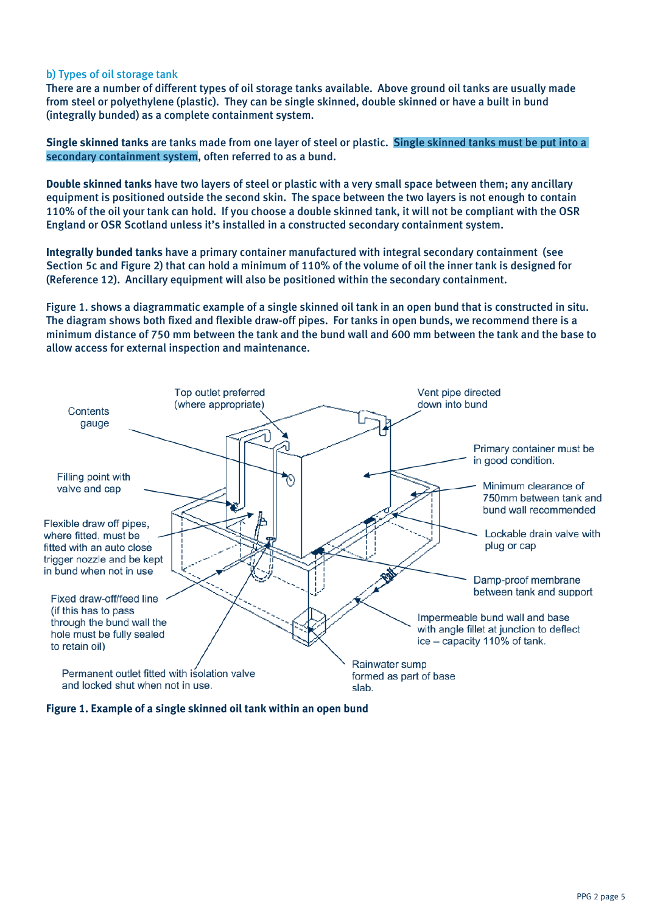## b) Types of oil storage tank

There are a number of different types of oil storage tanks available. Above ground oil tanks are usually made from steel or polyethylene (plastic). They can be single skinned, double skinned or have a built in bund (integrally bunded) as a complete containment system.

**Single skinned tanks** are tanks made from one layer of steel or plastic. Single skinned tanks must be put into a secondary containment system, often referred to as a bund.

**Double skinned tanks** have two layers of steel or plastic with a very small space between them; any ancillary equipment is positioned outside the second skin. The space between the two layers is not enough to contain 110% of the oil your tank can hold. If you choose a double skinned tank, it will not be compliant with the OSR England or OSR Scotland unless it's installed in a constructed secondary containment system.

**Integrally bunded tanks** have a primary container manufactured with integral secondary containment (see Section 5c and Figure 2) that can hold a minimum of 110% of the volume of oil the inner tank is designed for (Reference 12). Ancillary equipment will also be positioned within the secondary containment.

Figure 1. shows a diagrammatic example of a single skinned oil tank in an open bund that is constructed in situ. The diagram shows both fixed and flexible draw-off pipes. For tanks in open bunds, we recommend there is a minimum distance of 750 mm between the tank and the bund wall and 600 mm between the tank and the base to allow access for external inspection and maintenance.



**Figure 1. Example of a single skinned oil tank within an open bund**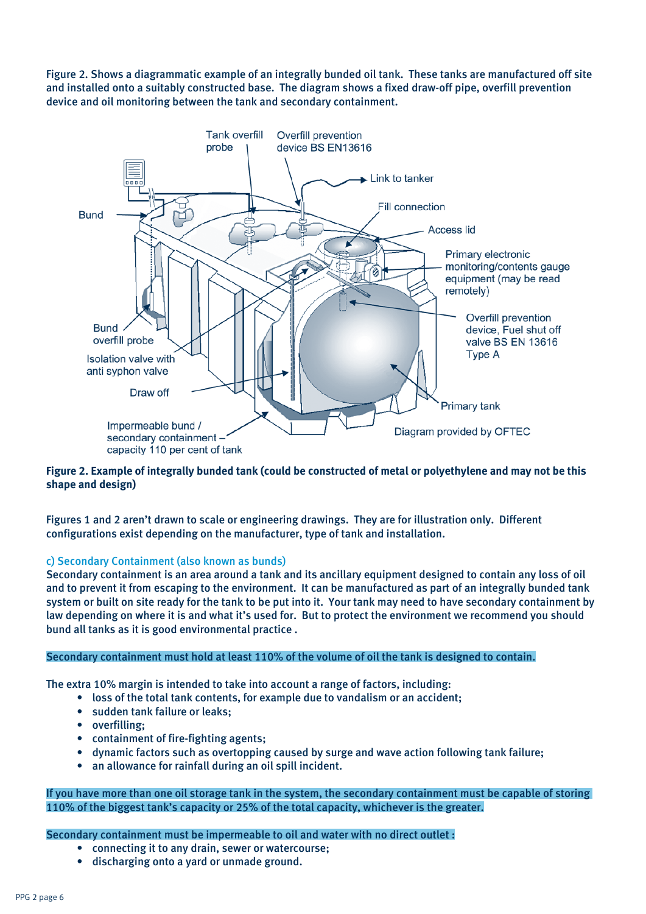Figure 2. Shows a diagrammatic example of an integrally bunded oil tank. These tanks are manufactured off site and installed onto a suitably constructed base. The diagram shows a fixed draw-off pipe, overfill prevention device and oil monitoring between the tank and secondary containment.



## **Figure 2. Example of integrally bunded tank (could be constructed of metal or polyethylene and may not be this shape and design)**

Figures 1 and 2 aren't drawn to scale or engineering drawings. They are for illustration only. Different configurations exist depending on the manufacturer, type of tank and installation.

### c) Secondary Containment (also known as bunds)

Secondary containment is an area around a tank and its ancillary equipment designed to contain any loss of oil and to prevent it from escaping to the environment. It can be manufactured as part of an integrally bunded tank system or built on site ready for the tank to be put into it. Your tank may need to have secondary containment by law depending on where it is and what it's used for. But to protect the environment we recommend you should bund all tanks as it is good environmental practice .

#### Secondary containment must hold at least 110% of the volume of oil the tank is designed to contain.

The extra 10% margin is intended to take into account a range of factors, including:

- loss of the total tank contents, for example due to vandalism or an accident;
	- sudden tank failure or leaks;
	- overfilling;
	- containment of fire-fighting agents;
	- dynamic factors such as overtopping caused by surge and wave action following tank failure;
	- an allowance for rainfall during an oil spill incident.

If you have more than one oil storage tank in the system, the secondary containment must be capable of storing 110% of the biggest tank's capacity or 25% of the total capacity, whichever is the greater.

Secondary containment must be impermeable to oil and water with no direct outlet :

- connecting it to any drain, sewer or watercourse;
- discharging onto a yard or unmade ground.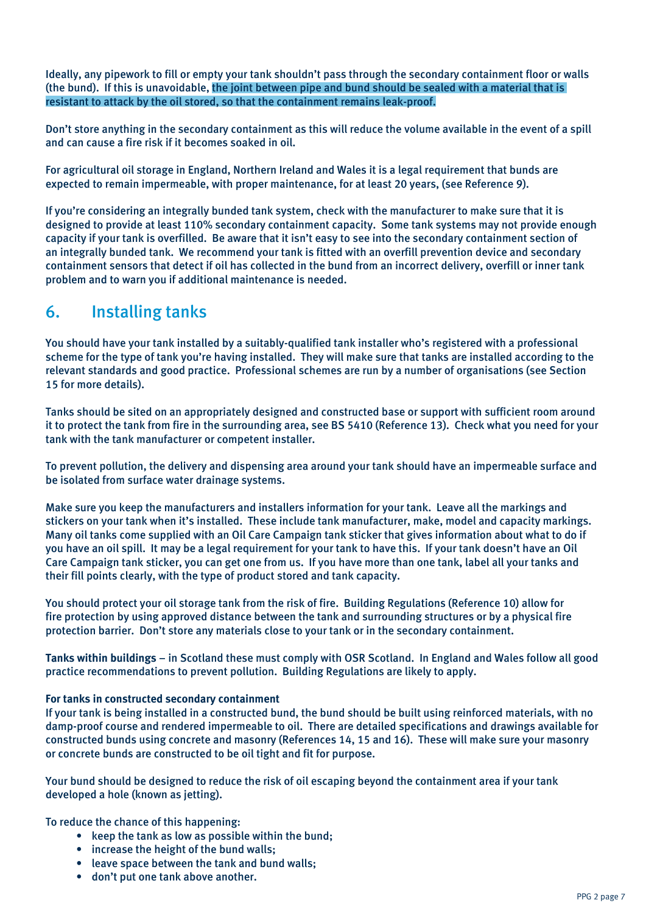Ideally, any pipework to fill or empty your tank shouldn't pass through the secondary containment floor or walls (the bund). If this is unavoidable, the joint between pipe and bund should be sealed with a material that is resistant to attack by the oil stored, so that the containment remains leak-proof.

Don't store anything in the secondary containment as this will reduce the volume available in the event of a spill and can cause a fire risk if it becomes soaked in oil.

For agricultural oil storage in England, Northern Ireland and Wales it is a legal requirement that bunds are expected to remain impermeable, with proper maintenance, for at least 20 years, (see Reference 9).

If you're considering an integrally bunded tank system, check with the manufacturer to make sure that it is designed to provide at least 110% secondary containment capacity. Some tank systems may not provide enough capacity if your tank is overfilled. Be aware that it isn't easy to see into the secondary containment section of an integrally bunded tank. We recommend your tank is fitted with an overfill prevention device and secondary containment sensors that detect if oil has collected in the bund from an incorrect delivery, overfill or inner tank problem and to warn you if additional maintenance is needed.

## 6. Installing tanks

You should have your tank installed by a suitably-qualified tank installer who's registered with a professional scheme for the type of tank you're having installed. They will make sure that tanks are installed according to the relevant standards and good practice. Professional schemes are run by a number of organisations (see Section 15 for more details).

Tanks should be sited on an appropriately designed and constructed base or support with sufficient room around it to protect the tank from fire in the surrounding area, see BS 5410 (Reference 13). Check what you need for your tank with the tank manufacturer or competent installer.

To prevent pollution, the delivery and dispensing area around your tank should have an impermeable surface and be isolated from surface water drainage systems.

Make sure you keep the manufacturers and installers information for your tank. Leave all the markings and stickers on your tank when it's installed. These include tank manufacturer, make, model and capacity markings. Many oil tanks come supplied with an Oil Care Campaign tank sticker that gives information about what to do if you have an oil spill. It may be a legal requirement for your tank to have this. If your tank doesn't have an Oil Care Campaign tank sticker, you can get one from us. If you have more than one tank, label all your tanks and their fill points clearly, with the type of product stored and tank capacity.

You should protect your oil storage tank from the risk of fire. Building Regulations (Reference 10) allow for fire protection by using approved distance between the tank and surrounding structures or by a physical fire protection barrier. Don't store any materials close to your tank or in the secondary containment.

**Tanks within buildings** – in Scotland these must comply with OSR Scotland. In England and Wales follow all good practice recommendations to prevent pollution. Building Regulations are likely to apply.

### **For tanks in constructed secondary containment**

If your tank is being installed in a constructed bund, the bund should be built using reinforced materials, with no damp-proof course and rendered impermeable to oil. There are detailed specifications and drawings available for constructed bunds using concrete and masonry (References 14, 15 and 16). These will make sure your masonry or concrete bunds are constructed to be oil tight and fit for purpose.

Your bund should be designed to reduce the risk of oil escaping beyond the containment area if your tank developed a hole (known as jetting).

To reduce the chance of this happening:

- keep the tank as low as possible within the bund;
- increase the height of the bund walls;
- leave space between the tank and bund walls;
- don't put one tank above another.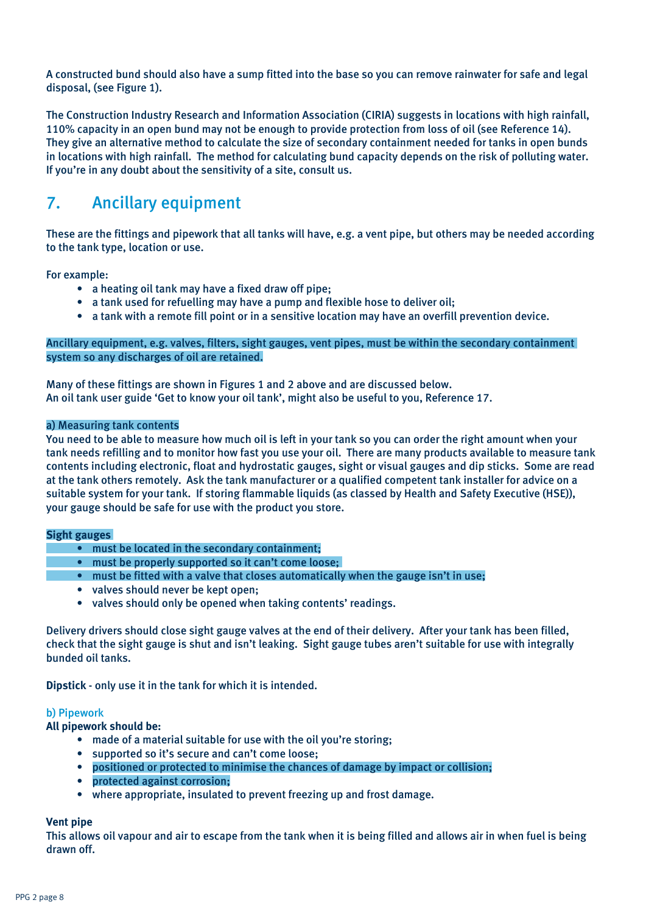A constructed bund should also have a sump fitted into the base so you can remove rainwater for safe and legal disposal, (see Figure 1).

The Construction Industry Research and Information Association (CIRIA) suggests in locations with high rainfall, 110% capacity in an open bund may not be enough to provide protection from loss of oil (see Reference 14). They give an alternative method to calculate the size of secondary containment needed for tanks in open bunds in locations with high rainfall. The method for calculating bund capacity depends on the risk of polluting water. If you're in any doubt about the sensitivity of a site, consult us.

# 7. Ancillary equipment

These are the fittings and pipework that all tanks will have, e.g. a vent pipe, but others may be needed according to the tank type, location or use.

For example:

- a heating oil tank may have a fixed draw off pipe;
- a tank used for refuelling may have a pump and flexible hose to deliver oil;
- a tank with a remote fill point or in a sensitive location may have an overfill prevention device.

### Ancillary equipment, e.g. valves, filters, sight gauges, vent pipes, must be within the secondary containment system so any discharges of oil are retained.

Many of these fittings are shown in Figures 1 and 2 above and are discussed below. An oil tank user guide 'Get to know your oil tank', might also be useful to you, Reference 17.

### a) Measuring tank contents

You need to be able to measure how much oil is left in your tank so you can order the right amount when your tank needs refilling and to monitor how fast you use your oil. There are many products available to measure tank contents including electronic, float and hydrostatic gauges, sight or visual gauges and dip sticks. Some are read at the tank others remotely. Ask the tank manufacturer or a qualified competent tank installer for advice on a suitable system for your tank. If storing flammable liquids (as classed by Health and Safety Executive (HSE)), your gauge should be safe for use with the product you store.

#### **Sight gauges**

- must be located in the secondary containment;
	- must be properly supported so it can't come loose;
	- must be fitted with a valve that closes automatically when the gauge isn't in use;
	- valves should never be kept open;
	- valves should only be opened when taking contents' readings.

Delivery drivers should close sight gauge valves at the end of their delivery. After your tank has been filled, check that the sight gauge is shut and isn't leaking. Sight gauge tubes aren't suitable for use with integrally bunded oil tanks.

**Dipstick** - only use it in the tank for which it is intended.

#### b) Pipework

**All pipework should be:**

- made of a material suitable for use with the oil you're storing;
- supported so it's secure and can't come loose;
- positioned or protected to minimise the chances of damage by impact or collision;
- protected against corrosion;
- where appropriate, insulated to prevent freezing up and frost damage.

#### **Vent pipe**

This allows oil vapour and air to escape from the tank when it is being filled and allows air in when fuel is being drawn off.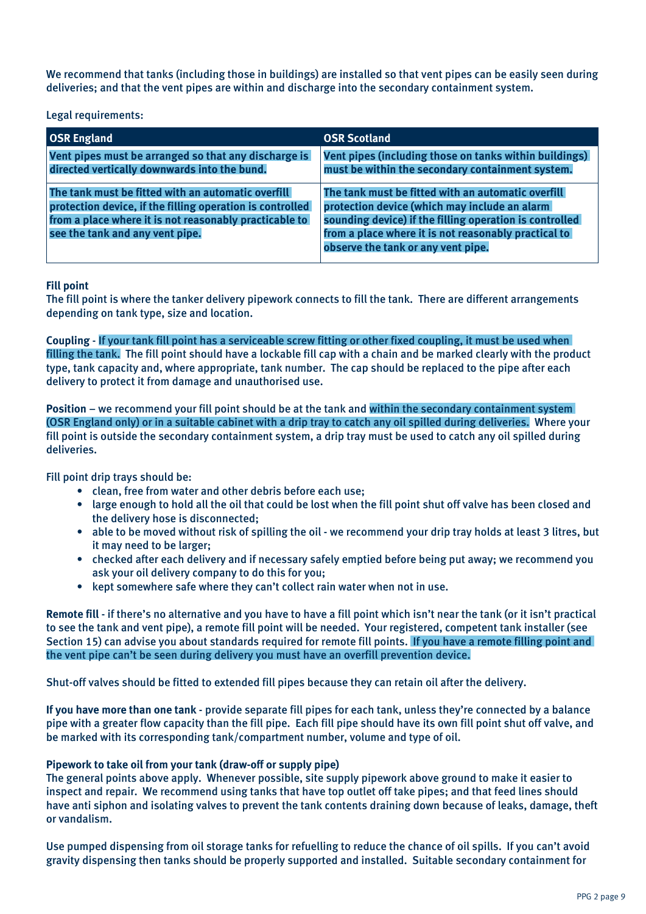We recommend that tanks (including those in buildings) are installed so that vent pipes can be easily seen during deliveries; and that the vent pipes are within and discharge into the secondary containment system.

### Legal requirements:

| <b>OSR England</b>                                                                                                                                                                                           | <b>OSR Scotland</b>                                                                                                                                                                                                                                          |
|--------------------------------------------------------------------------------------------------------------------------------------------------------------------------------------------------------------|--------------------------------------------------------------------------------------------------------------------------------------------------------------------------------------------------------------------------------------------------------------|
| Vent pipes must be arranged so that any discharge is<br>directed vertically downwards into the bund.                                                                                                         | Vent pipes (including those on tanks within buildings)<br>must be within the secondary containment system.                                                                                                                                                   |
| The tank must be fitted with an automatic overfill<br>protection device, if the filling operation is controlled<br>from a place where it is not reasonably practicable to<br>see the tank and any vent pipe. | The tank must be fitted with an automatic overfill<br>protection device (which may include an alarm<br>sounding device) if the filling operation is controlled<br>from a place where it is not reasonably practical to<br>observe the tank or any vent pipe. |

## **Fill point**

The fill point is where the tanker delivery pipework connects to fill the tank. There are different arrangements depending on tank type, size and location.

**Coupling** - If your tank fill point has a serviceable screw fitting or other fixed coupling, it must be used when filling the tank. The fill point should have a lockable fill cap with a chain and be marked clearly with the product type, tank capacity and, where appropriate, tank number. The cap should be replaced to the pipe after each delivery to protect it from damage and unauthorised use.

**Position** – we recommend your fill point should be at the tank and within the secondary containment system (OSR England only) or in a suitable cabinet with a drip tray to catch any oil spilled during deliveries. Where your fill point is outside the secondary containment system, a drip tray must be used to catch any oil spilled during deliveries.

Fill point drip trays should be:

- clean, free from water and other debris before each use;
- large enough to hold all the oil that could be lost when the fill point shut off valve has been closed and the delivery hose is disconnected;
- able to be moved without risk of spilling the oil we recommend your drip tray holds at least 3 litres, but it may need to be larger;
- checked after each delivery and if necessary safely emptied before being put away; we recommend you ask your oil delivery company to do this for you;
- kept somewhere safe where they can't collect rain water when not in use.

**Remote fill** - if there's no alternative and you have to have a fill point which isn't near the tank (or it isn't practical to see the tank and vent pipe), a remote fill point will be needed. Your registered, competent tank installer (see Section 15) can advise you about standards required for remote fill points. If you have a remote filling point and the vent pipe can't be seen during delivery you must have an overfill prevention device.

Shut-off valves should be fitted to extended fill pipes because they can retain oil after the delivery.

**If you have more than one tank** - provide separate fill pipes for each tank, unless they're connected by a balance pipe with a greater flow capacity than the fill pipe. Each fill pipe should have its own fill point shut off valve, and be marked with its corresponding tank/compartment number, volume and type of oil.

### **Pipework to take oil from your tank (draw-off or supply pipe)**

The general points above apply. Whenever possible, site supply pipework above ground to make it easier to inspect and repair. We recommend using tanks that have top outlet off take pipes; and that feed lines should have anti siphon and isolating valves to prevent the tank contents draining down because of leaks, damage, theft or vandalism.

Use pumped dispensing from oil storage tanks for refuelling to reduce the chance of oil spills. If you can't avoid gravity dispensing then tanks should be properly supported and installed. Suitable secondary containment for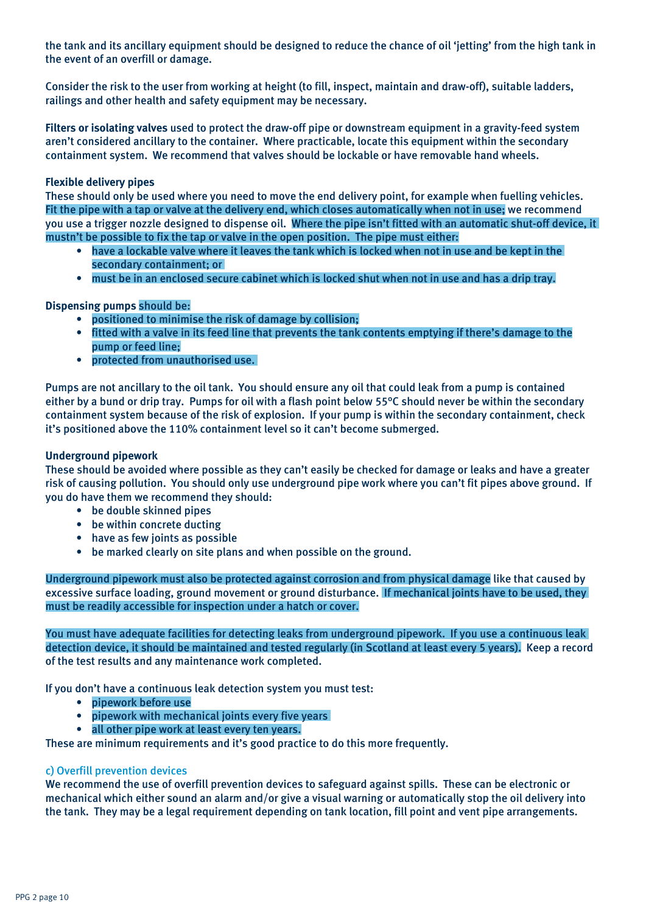the tank and its ancillary equipment should be designed to reduce the chance of oil 'jetting' from the high tank in the event of an overfill or damage.

Consider the risk to the user from working at height (to fill, inspect, maintain and draw-off), suitable ladders, railings and other health and safety equipment may be necessary.

**Filters or isolating valves** used to protect the draw-off pipe or downstream equipment in a gravity-feed system aren't considered ancillary to the container. Where practicable, locate this equipment within the secondary containment system. We recommend that valves should be lockable or have removable hand wheels.

### **Flexible delivery pipes**

These should only be used where you need to move the end delivery point, for example when fuelling vehicles. Fit the pipe with a tap or valve at the delivery end, which closes automatically when not in use; we recommend you use a trigger nozzle designed to dispense oil. Where the pipe isn't fitted with an automatic shut-off device, it mustn't be possible to fix the tap or valve in the open position. The pipe must either:

- have a lockable valve where it leaves the tank which is locked when not in use and be kept in the secondary containment; or
- must be in an enclosed secure cabinet which is locked shut when not in use and has a drip tray.

### **Dispensing pumps** should be:

- positioned to minimise the risk of damage by collision;
- fitted with a valve in its feed line that prevents the tank contents emptying if there's damage to the pump or feed line;
- protected from unauthorised use.

Pumps are not ancillary to the oil tank. You should ensure any oil that could leak from a pump is contained either by a bund or drip tray. Pumps for oil with a flash point below 55°C should never be within the secondary containment system because of the risk of explosion. If your pump is within the secondary containment, check it's positioned above the 110% containment level so it can't become submerged.

#### **Underground pipework**

These should be avoided where possible as they can't easily be checked for damage or leaks and have a greater risk of causing pollution. You should only use underground pipe work where you can't fit pipes above ground. If you do have them we recommend they should:

- be double skinned pipes
- be within concrete ducting
- have as few joints as possible
- be marked clearly on site plans and when possible on the ground.

Underground pipework must also be protected against corrosion and from physical damage like that caused by excessive surface loading, ground movement or ground disturbance. If mechanical joints have to be used, they must be readily accessible for inspection under a hatch or cover.

You must have adequate facilities for detecting leaks from underground pipework. If you use a continuous leak detection device, it should be maintained and tested regularly (in Scotland at least every 5 years). Keep a record of the test results and any maintenance work completed.

If you don't have a continuous leak detection system you must test:

- pipework before use
- pipework with mechanical joints every five years
- all other pipe work at least every ten years.

These are minimum requirements and it's good practice to do this more frequently.

#### c) Overfill prevention devices

We recommend the use of overfill prevention devices to safeguard against spills. These can be electronic or mechanical which either sound an alarm and/or give a visual warning or automatically stop the oil delivery into the tank. They may be a legal requirement depending on tank location, fill point and vent pipe arrangements.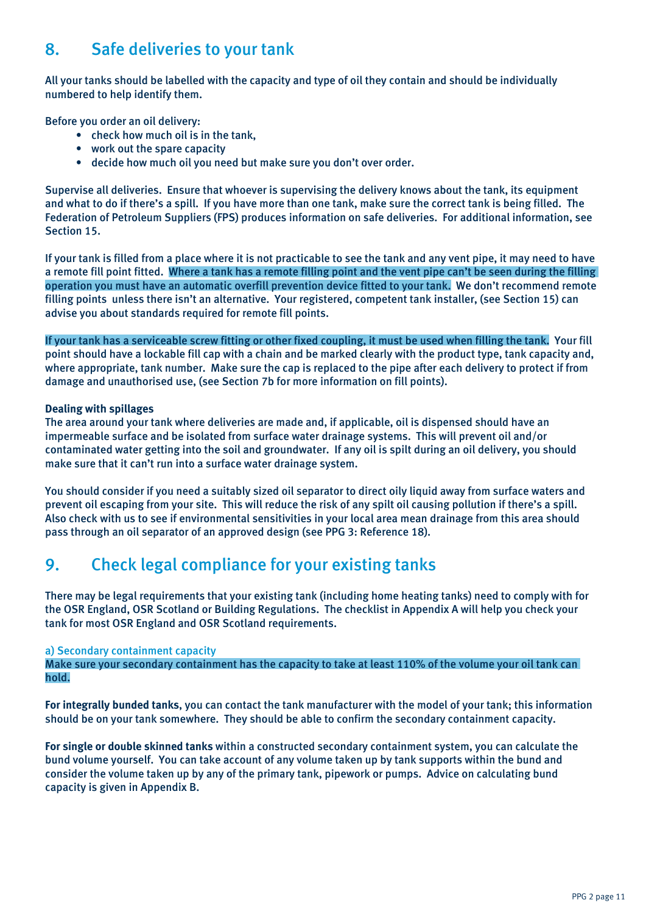# 8. Safe deliveries to your tank

All your tanks should be labelled with the capacity and type of oil they contain and should be individually numbered to help identify them.

Before you order an oil delivery:

- check how much oil is in the tank,
- work out the spare capacity
- decide how much oil you need but make sure you don't over order.

Supervise all deliveries. Ensure that whoever is supervising the delivery knows about the tank, its equipment and what to do if there's a spill. If you have more than one tank, make sure the correct tank is being filled. The Federation of Petroleum Suppliers (FPS) produces information on safe deliveries. For additional information, see Section 15.

If your tank is filled from a place where it is not practicable to see the tank and any vent pipe, it may need to have a remote fill point fitted. Where a tank has a remote filling point and the vent pipe can't be seen during the filling operation you must have an automatic overfill prevention device fitted to your tank. We don't recommend remote filling points unless there isn't an alternative. Your registered, competent tank installer, (see Section 15) can advise you about standards required for remote fill points.

If your tank has a serviceable screw fitting or other fixed coupling, it must be used when filling the tank. Your fill point should have a lockable fill cap with a chain and be marked clearly with the product type, tank capacity and, where appropriate, tank number. Make sure the cap is replaced to the pipe after each delivery to protect if from damage and unauthorised use, (see Section 7b for more information on fill points).

### **Dealing with spillages**

The area around your tank where deliveries are made and, if applicable, oil is dispensed should have an impermeable surface and be isolated from surface water drainage systems. This will prevent oil and/or contaminated water getting into the soil and groundwater. If any oil is spilt during an oil delivery, you should make sure that it can't run into a surface water drainage system.

You should consider if you need a suitably sized oil separator to direct oily liquid away from surface waters and prevent oil escaping from your site. This will reduce the risk of any spilt oil causing pollution if there's a spill. Also check with us to see if environmental sensitivities in your local area mean drainage from this area should pass through an oil separator of an approved design (see PPG 3: Reference 18).

## 9. Check legal compliance for your existing tanks

There may be legal requirements that your existing tank (including home heating tanks) need to comply with for the OSR England, OSR Scotland or Building Regulations. The checklist in Appendix A will help you check your tank for most OSR England and OSR Scotland requirements.

### a) Secondary containment capacity

Make sure your secondary containment has the capacity to take at least 110% of the volume your oil tank can hold.

**For integrally bunded tanks**, you can contact the tank manufacturer with the model of your tank; this information should be on your tank somewhere. They should be able to confirm the secondary containment capacity.

**For single or double skinned tanks** within a constructed secondary containment system, you can calculate the bund volume yourself. You can take account of any volume taken up by tank supports within the bund and consider the volume taken up by any of the primary tank, pipework or pumps. Advice on calculating bund capacity is given in Appendix B.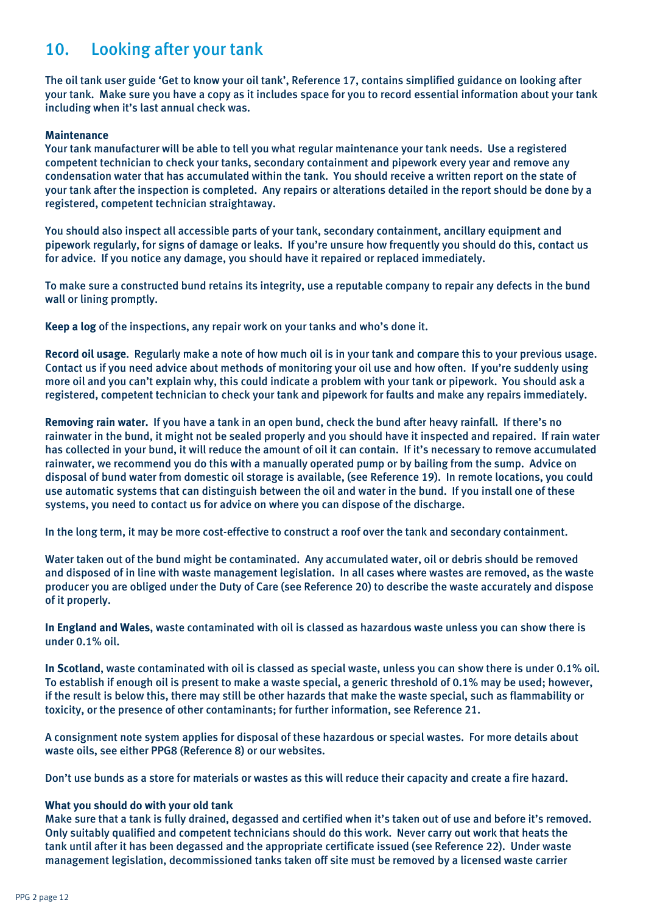# 10. Looking after your tank

The oil tank user guide 'Get to know your oil tank', Reference 17, contains simplified guidance on looking after your tank. Make sure you have a copy as it includes space for you to record essential information about your tank including when it's last annual check was.

### **Maintenance**

Your tank manufacturer will be able to tell you what regular maintenance your tank needs. Use a registered competent technician to check your tanks, secondary containment and pipework every year and remove any condensation water that has accumulated within the tank. You should receive a written report on the state of your tank after the inspection is completed. Any repairs or alterations detailed in the report should be done by a registered, competent technician straightaway.

You should also inspect all accessible parts of your tank, secondary containment, ancillary equipment and pipework regularly, for signs of damage or leaks. If you're unsure how frequently you should do this, contact us for advice. If you notice any damage, you should have it repaired or replaced immediately.

To make sure a constructed bund retains its integrity, use a reputable company to repair any defects in the bund wall or lining promptly.

**Keep a log** of the inspections, any repair work on your tanks and who's done it.

**Record oil usage**. Regularly make a note of how much oil is in your tank and compare this to your previous usage. Contact us if you need advice about methods of monitoring your oil use and how often. If you're suddenly using more oil and you can't explain why, this could indicate a problem with your tank or pipework. You should ask a registered, competent technician to check your tank and pipework for faults and make any repairs immediately.

**Removing rain water.** If you have a tank in an open bund, check the bund after heavy rainfall. If there's no rainwater in the bund, it might not be sealed properly and you should have it inspected and repaired. If rain water has collected in your bund, it will reduce the amount of oil it can contain. If it's necessary to remove accumulated rainwater, we recommend you do this with a manually operated pump or by bailing from the sump. Advice on disposal of bund water from domestic oil storage is available, (see Reference 19). In remote locations, you could use automatic systems that can distinguish between the oil and water in the bund. If you install one of these systems, you need to contact us for advice on where you can dispose of the discharge.

In the long term, it may be more cost-effective to construct a roof over the tank and secondary containment.

Water taken out of the bund might be contaminated. Any accumulated water, oil or debris should be removed and disposed of in line with waste management legislation. In all cases where wastes are removed, as the waste producer you are obliged under the Duty of Care (see Reference 20) to describe the waste accurately and dispose of it properly.

**In England and Wales**, waste contaminated with oil is classed as hazardous waste unless you can show there is under 0.1% oil.

**In Scotland**, waste contaminated with oil is classed as special waste, unless you can show there is under 0.1% oil. To establish if enough oil is present to make a waste special, a generic threshold of 0.1% may be used; however, if the result is below this, there may still be other hazards that make the waste special, such as flammability or toxicity, or the presence of other contaminants; for further information, see Reference 21.

A consignment note system applies for disposal of these hazardous or special wastes. For more details about waste oils, see either PPG8 (Reference 8) or our websites.

Don't use bunds as a store for materials or wastes as this will reduce their capacity and create a fire hazard.

#### **What you should do with your old tank**

Make sure that a tank is fully drained, degassed and certified when it's taken out of use and before it's removed. Only suitably qualified and competent technicians should do this work. Never carry out work that heats the tank until after it has been degassed and the appropriate certificate issued (see Reference 22). Under waste management legislation, decommissioned tanks taken off site must be removed by a licensed waste carrier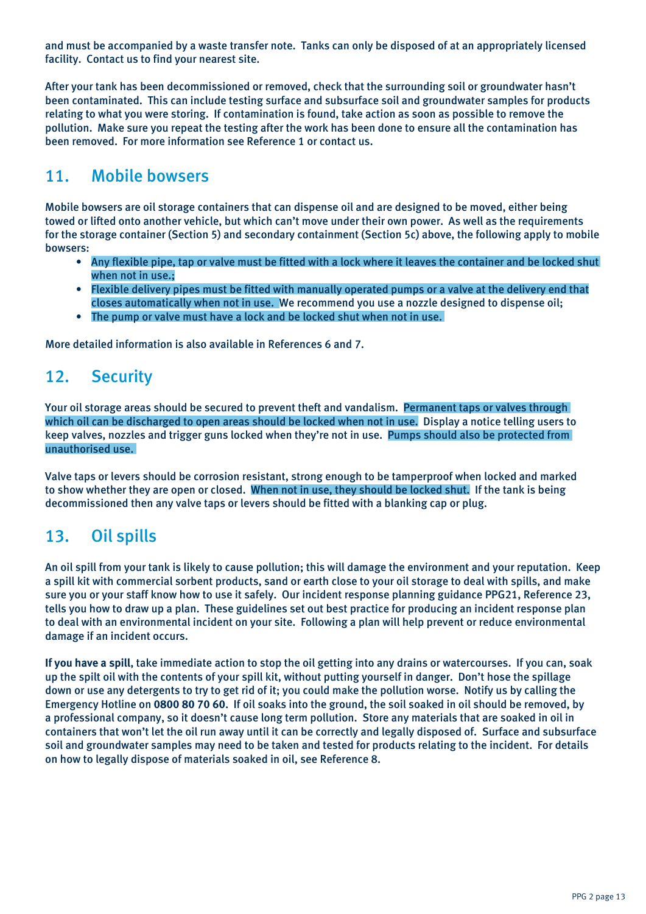and must be accompanied by a waste transfer note. Tanks can only be disposed of at an appropriately licensed facility. Contact us to find your nearest site.

After your tank has been decommissioned or removed, check that the surrounding soil or groundwater hasn't been contaminated. This can include testing surface and subsurface soil and groundwater samples for products relating to what you were storing. If contamination is found, take action as soon as possible to remove the pollution. Make sure you repeat the testing after the work has been done to ensure all the contamination has been removed. For more information see Reference 1 or contact us.

## 11. Mobile bowsers

Mobile bowsers are oil storage containers that can dispense oil and are designed to be moved, either being towed or lifted onto another vehicle, but which can't move under their own power. As well as the requirements for the storage container (Section 5) and secondary containment (Section 5c) above, the following apply to mobile bowsers:

- Any flexible pipe, tap or valve must be fitted with a lock where it leaves the container and be locked shut when not in use.;
- Flexible delivery pipes must be fitted with manually operated pumps or a valve at the delivery end that closes automatically when not in use. We recommend you use a nozzle designed to dispense oil;
- The pump or valve must have a lock and be locked shut when not in use.

More detailed information is also available in References 6 and 7.

## 12. Security

Your oil storage areas should be secured to prevent theft and vandalism. Permanent taps or valves through which oil can be discharged to open areas should be locked when not in use. Display a notice telling users to keep valves, nozzles and trigger guns locked when they're not in use. Pumps should also be protected from unauthorised use.

Valve taps or levers should be corrosion resistant, strong enough to be tamperproof when locked and marked to show whether they are open or closed. When not in use, they should be locked shut. If the tank is being decommissioned then any valve taps or levers should be fitted with a blanking cap or plug.

# 13. Oil spills

An oil spill from your tank is likely to cause pollution; this will damage the environment and your reputation. Keep a spill kit with commercial sorbent products, sand or earth close to your oil storage to deal with spills, and make sure you or your staff know how to use it safely. Our incident response planning guidance PPG21, Reference 23, tells you how to draw up a plan. These guidelines set out best practice for producing an incident response plan to deal with an environmental incident on your site. Following a plan will help prevent or reduce environmental damage if an incident occurs.

**If you have a spill**, take immediate action to stop the oil getting into any drains or watercourses. If you can, soak up the spilt oil with the contents of your spill kit, without putting yourself in danger. Don't hose the spillage down or use any detergents to try to get rid of it; you could make the pollution worse. Notify us by calling the Emergency Hotline on **0800 80 70 60**. If oil soaks into the ground, the soil soaked in oil should be removed, by a professional company, so it doesn't cause long term pollution. Store any materials that are soaked in oil in containers that won't let the oil run away until it can be correctly and legally disposed of. Surface and subsurface soil and groundwater samples may need to be taken and tested for products relating to the incident. For details on how to legally dispose of materials soaked in oil, see Reference 8.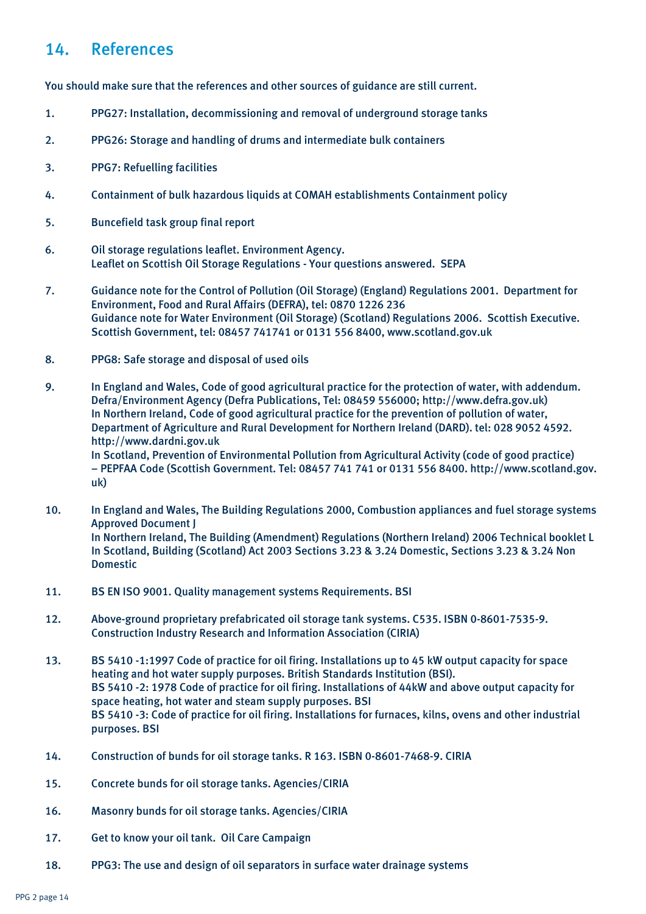## 14. References

You should make sure that the references and other sources of guidance are still current.

- 1. PPG27: Installation, decommissioning and removal of underground storage tanks
- 2. PPG26: Storage and handling of drums and intermediate bulk containers
- 3. PPG7: Refuelling facilities
- 4. Containment of bulk hazardous liquids at COMAH establishments Containment policy
- 5. Buncefield task group final report
- 6. Oil storage regulations leaflet. Environment Agency. Leaflet on Scottish Oil Storage Regulations - Your questions answered. SEPA
- 7. Guidance note for the Control of Pollution (Oil Storage) (England) Regulations 2001. Department for Environment, Food and Rural Affairs (DEFRA), tel: 0870 1226 236 Guidance note for Water Environment (Oil Storage) (Scotland) Regulations 2006. Scottish Executive. Scottish Government, tel: 08457 741741 or 0131 556 8400, www.scotland.gov.uk
- 8. PPG8: Safe storage and disposal of used oils
- 9. In England and Wales, Code of good agricultural practice for the protection of water, with addendum. Defra/Environment Agency (Defra Publications, Tel: 08459 556000; http://www.defra.gov.uk) In Northern Ireland, Code of good agricultural practice for the prevention of pollution of water, Department of Agriculture and Rural Development for Northern Ireland (DARD). tel: 028 9052 4592. http://www.dardni.gov.uk In Scotland, Prevention of Environmental Pollution from Agricultural Activity (code of good practice) – PEPFAA Code (Scottish Government. Tel: 08457 741 741 or 0131 556 8400. http://www.scotland.gov. uk)
- 10. In England and Wales, The Building Regulations 2000, Combustion appliances and fuel storage systems Approved Document J In Northern Ireland, The Building (Amendment) Regulations (Northern Ireland) 2006 Technical booklet L In Scotland, Building (Scotland) Act 2003 Sections 3.23 & 3.24 Domestic, Sections 3.23 & 3.24 Non Domestic
- 11. BS EN ISO 9001. Quality management systems Requirements. BSI
- 12. Above-ground proprietary prefabricated oil storage tank systems. C535. ISBN 0-8601-7535-9. Construction Industry Research and Information Association (CIRIA)
- 13. BS 5410 -1:1997 Code of practice for oil firing. Installations up to 45 kW output capacity for space heating and hot water supply purposes. British Standards Institution (BSI). BS 5410 -2: 1978 Code of practice for oil firing. Installations of 44kW and above output capacity for space heating, hot water and steam supply purposes. BSI BS 5410 -3: Code of practice for oil firing. Installations for furnaces, kilns, ovens and other industrial purposes. BSI
- 14. Construction of bunds for oil storage tanks. R 163. ISBN 0-8601-7468-9. CIRIA
- 15. Concrete bunds for oil storage tanks. Agencies/CIRIA
- 16. Masonry bunds for oil storage tanks. Agencies/CIRIA
- 17. Get to know your oil tank. Oil Care Campaign
- 18. PPG3: The use and design of oil separators in surface water drainage systems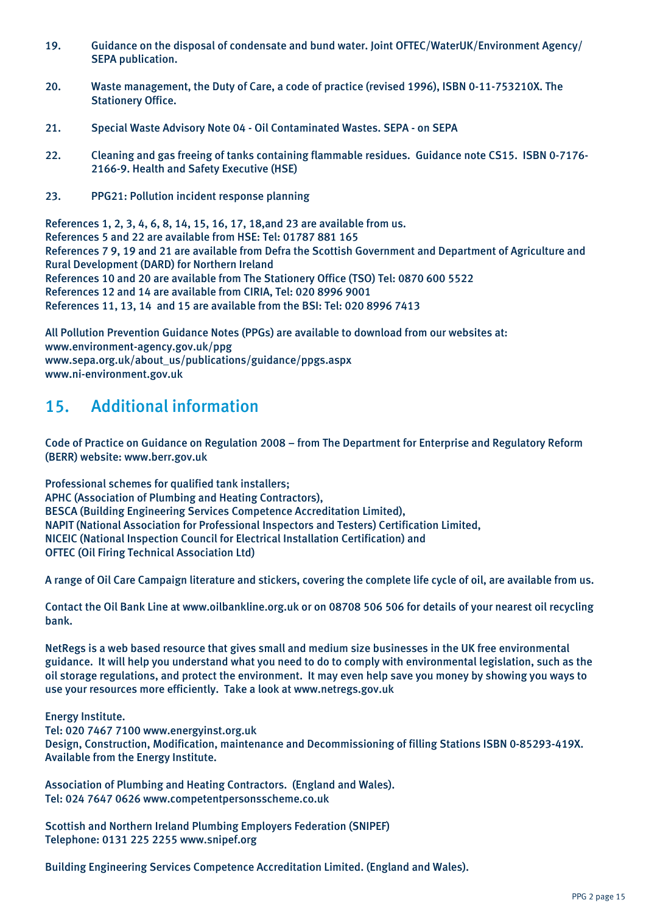- 19. Guidance on the disposal of condensate and bund water. Joint OFTEC/WaterUK/Environment Agency/ SEPA publication.
- 20. Waste management, the Duty of Care, a code of practice (revised 1996), ISBN 0-11-753210X. The Stationery Office.
- 21. Special Waste Advisory Note 04 Oil Contaminated Wastes. SEPA on SEPA
- 22. Cleaning and gas freeing of tanks containing flammable residues. Guidance note CS15. ISBN 0-7176- 2166-9. Health and Safety Executive (HSE)
- 23. PPG21: Pollution incident response planning

References 1, 2, 3, 4, 6, 8, 14, 15, 16, 17, 18,and 23 are available from us. References 5 and 22 are available from HSE: Tel: 01787 881 165 References 7 9, 19 and 21 are available from Defra the Scottish Government and Department of Agriculture and Rural Development (DARD) for Northern Ireland References 10 and 20 are available from The Stationery Office (TSO) Tel: 0870 600 5522 References 12 and 14 are available from CIRIA, Tel: 020 8996 9001 References 11, 13, 14 and 15 are available from the BSI: Tel: 020 8996 7413

All Pollution Prevention Guidance Notes (PPGs) are available to download from our websites at: www.environment-agency.gov.uk/ppg www.sepa.org.uk/about\_us/publications/guidance/ppgs.aspx www.ni-environment.gov.uk

## 15. Additional information

Code of Practice on Guidance on Regulation 2008 – from The Department for Enterprise and Regulatory Reform (BERR) website: www.berr.gov.uk

Professional schemes for qualified tank installers; APHC (Association of Plumbing and Heating Contractors), BESCA (Building Engineering Services Competence Accreditation Limited), NAPIT (National Association for Professional Inspectors and Testers) Certification Limited, NICEIC (National Inspection Council for Electrical Installation Certification) and OFTEC (Oil Firing Technical Association Ltd)

A range of Oil Care Campaign literature and stickers, covering the complete life cycle of oil, are available from us.

Contact the Oil Bank Line at www.oilbankline.org.uk or on 08708 506 506 for details of your nearest oil recycling bank.

NetRegs is a web based resource that gives small and medium size businesses in the UK free environmental guidance. It will help you understand what you need to do to comply with environmental legislation, such as the oil storage regulations, and protect the environment. It may even help save you money by showing you ways to use your resources more efficiently. Take a look at www.netregs.gov.uk

Energy Institute.

Tel: 020 7467 7100 www.energyinst.org.uk Design, Construction, Modification, maintenance and Decommissioning of filling Stations ISBN 0-85293-419X. Available from the Energy Institute.

Association of Plumbing and Heating Contractors. (England and Wales). Tel: 024 7647 0626 www.competentpersonsscheme.co.uk

Scottish and Northern Ireland Plumbing Employers Federation (SNIPEF) Telephone: 0131 225 2255 www.snipef.org

Building Engineering Services Competence Accreditation Limited. (England and Wales).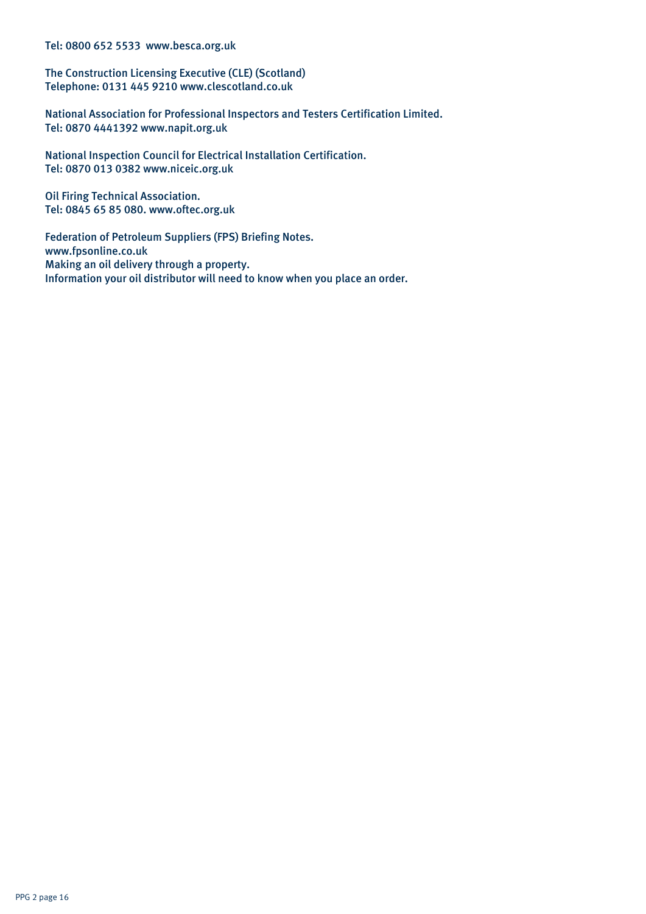Tel: 0800 652 5533 www.besca.org.uk

The Construction Licensing Executive (CLE) (Scotland) Telephone: 0131 445 9210 www.clescotland.co.uk

National Association for Professional Inspectors and Testers Certification Limited. Tel: 0870 4441392 www.napit.org.uk

National Inspection Council for Electrical Installation Certification. Tel: 0870 013 0382 www.niceic.org.uk

Oil Firing Technical Association. Tel: 0845 65 85 080. www.oftec.org.uk

Federation of Petroleum Suppliers (FPS) Briefing Notes. www.fpsonline.co.uk Making an oil delivery through a property. Information your oil distributor will need to know when you place an order.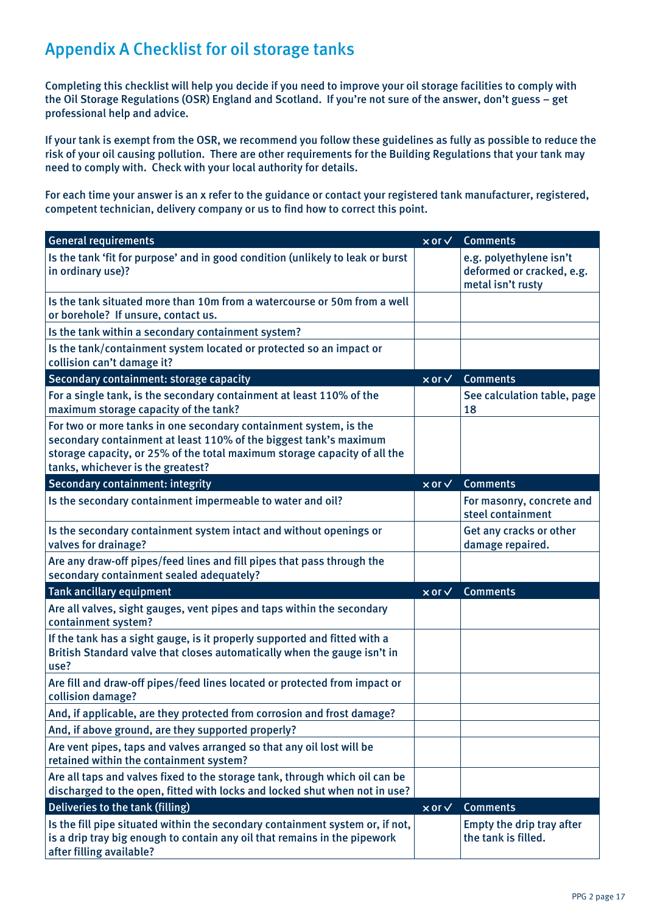# Appendix A Checklist for oil storage tanks

Completing this checklist will help you decide if you need to improve your oil storage facilities to comply with the Oil Storage Regulations (OSR) England and Scotland. If you're not sure of the answer, don't guess – get professional help and advice.

If your tank is exempt from the OSR, we recommend you follow these guidelines as fully as possible to reduce the risk of your oil causing pollution. There are other requirements for the Building Regulations that your tank may need to comply with. Check with your local authority for details.

For each time your answer is an x refer to the guidance or contact your registered tank manufacturer, registered, competent technician, delivery company or us to find how to correct this point.

| <b>General requirements</b>                                                                                                                                                                                                                              | $\times$ or $\sqrt{ }$            | <b>Comments</b>                                                           |
|----------------------------------------------------------------------------------------------------------------------------------------------------------------------------------------------------------------------------------------------------------|-----------------------------------|---------------------------------------------------------------------------|
| Is the tank 'fit for purpose' and in good condition (unlikely to leak or burst<br>in ordinary use)?                                                                                                                                                      |                                   | e.g. polyethylene isn't<br>deformed or cracked, e.g.<br>metal isn't rusty |
| Is the tank situated more than 10m from a watercourse or 50m from a well<br>or borehole? If unsure, contact us.                                                                                                                                          |                                   |                                                                           |
| Is the tank within a secondary containment system?                                                                                                                                                                                                       |                                   |                                                                           |
| Is the tank/containment system located or protected so an impact or<br>collision can't damage it?                                                                                                                                                        |                                   |                                                                           |
| Secondary containment: storage capacity                                                                                                                                                                                                                  | $\overline{\times}$ or $\sqrt{ }$ | <b>Comments</b>                                                           |
| For a single tank, is the secondary containment at least 110% of the<br>maximum storage capacity of the tank?                                                                                                                                            |                                   | See calculation table, page<br>18                                         |
| For two or more tanks in one secondary containment system, is the<br>secondary containment at least 110% of the biggest tank's maximum<br>storage capacity, or 25% of the total maximum storage capacity of all the<br>tanks, whichever is the greatest? |                                   |                                                                           |
| Secondary containment: integrity                                                                                                                                                                                                                         | $\times$ or $\vee$                | <b>Comments</b>                                                           |
| Is the secondary containment impermeable to water and oil?                                                                                                                                                                                               |                                   | For masonry, concrete and<br>steel containment                            |
| Is the secondary containment system intact and without openings or<br>valves for drainage?                                                                                                                                                               |                                   | Get any cracks or other<br>damage repaired.                               |
| Are any draw-off pipes/feed lines and fill pipes that pass through the<br>secondary containment sealed adequately?                                                                                                                                       |                                   |                                                                           |
| <b>Tank ancillary equipment</b>                                                                                                                                                                                                                          | $\times$ or $\vee$                | <b>Comments</b>                                                           |
| Are all valves, sight gauges, vent pipes and taps within the secondary<br>containment system?                                                                                                                                                            |                                   |                                                                           |
| If the tank has a sight gauge, is it properly supported and fitted with a<br>British Standard valve that closes automatically when the gauge isn't in<br>use?                                                                                            |                                   |                                                                           |
| Are fill and draw-off pipes/feed lines located or protected from impact or<br>collision damage?                                                                                                                                                          |                                   |                                                                           |
| And, if applicable, are they protected from corrosion and frost damage?                                                                                                                                                                                  |                                   |                                                                           |
| And, if above ground, are they supported properly?                                                                                                                                                                                                       |                                   |                                                                           |
| Are vent pipes, taps and valves arranged so that any oil lost will be<br>retained within the containment system?                                                                                                                                         |                                   |                                                                           |
| Are all taps and valves fixed to the storage tank, through which oil can be<br>discharged to the open, fitted with locks and locked shut when not in use?                                                                                                |                                   |                                                                           |
| Deliveries to the tank (filling)                                                                                                                                                                                                                         | $\times$ or $\times$              | <b>Comments</b>                                                           |
| Is the fill pipe situated within the secondary containment system or, if not,<br>is a drip tray big enough to contain any oil that remains in the pipework<br>after filling available?                                                                   |                                   | Empty the drip tray after<br>the tank is filled.                          |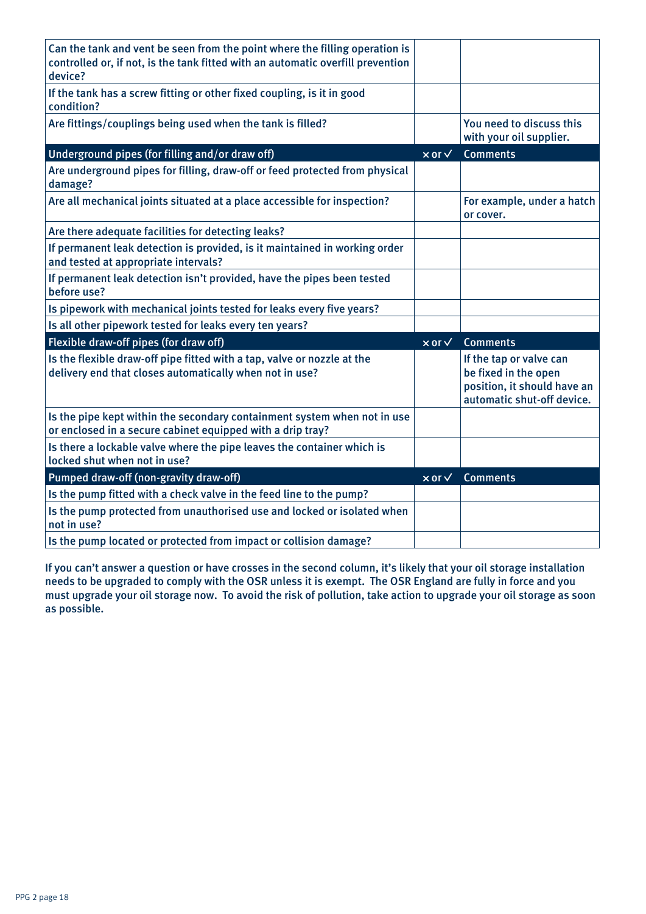| Can the tank and vent be seen from the point where the filling operation is<br>controlled or, if not, is the tank fitted with an automatic overfill prevention<br>device? |                      |                                                                                                              |
|---------------------------------------------------------------------------------------------------------------------------------------------------------------------------|----------------------|--------------------------------------------------------------------------------------------------------------|
| If the tank has a screw fitting or other fixed coupling, is it in good<br>condition?                                                                                      |                      |                                                                                                              |
| Are fittings/couplings being used when the tank is filled?                                                                                                                |                      | You need to discuss this<br>with your oil supplier.                                                          |
| Underground pipes (for filling and/or draw off)                                                                                                                           | $\times$ or $\times$ | <b>Comments</b>                                                                                              |
| Are underground pipes for filling, draw-off or feed protected from physical<br>damage?                                                                                    |                      |                                                                                                              |
| Are all mechanical joints situated at a place accessible for inspection?                                                                                                  |                      | For example, under a hatch<br>or cover.                                                                      |
| Are there adequate facilities for detecting leaks?                                                                                                                        |                      |                                                                                                              |
| If permanent leak detection is provided, is it maintained in working order<br>and tested at appropriate intervals?                                                        |                      |                                                                                                              |
| If permanent leak detection isn't provided, have the pipes been tested<br>before use?                                                                                     |                      |                                                                                                              |
| Is pipework with mechanical joints tested for leaks every five years?                                                                                                     |                      |                                                                                                              |
| Is all other pipework tested for leaks every ten years?                                                                                                                   |                      |                                                                                                              |
| Flexible draw-off pipes (for draw off)                                                                                                                                    | $\times$ or $\times$ | <b>Comments</b>                                                                                              |
| Is the flexible draw-off pipe fitted with a tap, valve or nozzle at the<br>delivery end that closes automatically when not in use?                                        |                      | If the tap or valve can<br>be fixed in the open<br>position, it should have an<br>automatic shut-off device. |
| Is the pipe kept within the secondary containment system when not in use<br>or enclosed in a secure cabinet equipped with a drip tray?                                    |                      |                                                                                                              |
| Is there a lockable valve where the pipe leaves the container which is<br>locked shut when not in use?                                                                    |                      |                                                                                                              |
| Pumped draw-off (non-gravity draw-off)                                                                                                                                    | $\times$ or $\times$ | <b>Comments</b>                                                                                              |
| Is the pump fitted with a check valve in the feed line to the pump?                                                                                                       |                      |                                                                                                              |
| Is the pump protected from unauthorised use and locked or isolated when<br>not in use?                                                                                    |                      |                                                                                                              |
| Is the pump located or protected from impact or collision damage?                                                                                                         |                      |                                                                                                              |

If you can't answer a question or have crosses in the second column, it's likely that your oil storage installation needs to be upgraded to comply with the OSR unless it is exempt. The OSR England are fully in force and you must upgrade your oil storage now. To avoid the risk of pollution, take action to upgrade your oil storage as soon as possible.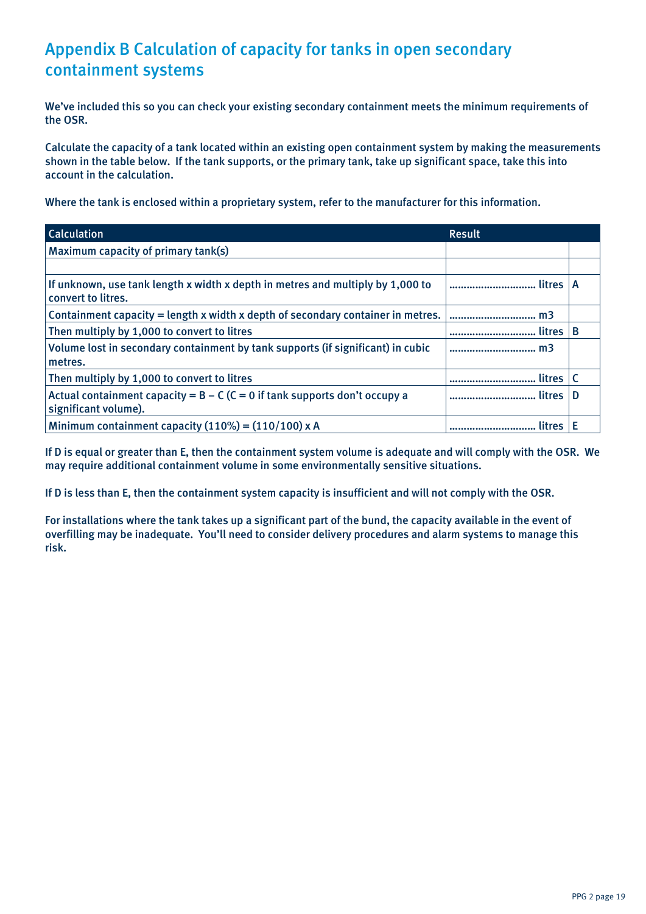# Appendix B Calculation of capacity for tanks in open secondary containment systems

We've included this so you can check your existing secondary containment meets the minimum requirements of the OSR.

Calculate the capacity of a tank located within an existing open containment system by making the measurements shown in the table below. If the tank supports, or the primary tank, take up significant space, take this into account in the calculation.

Where the tank is enclosed within a proprietary system, refer to the manufacturer for this information.

| <b>Calculation</b>                                                                                   | <b>Result</b> |   |
|------------------------------------------------------------------------------------------------------|---------------|---|
| Maximum capacity of primary tank(s)                                                                  |               |   |
|                                                                                                      |               |   |
| If unknown, use tank length x width x depth in metres and multiply by 1,000 to<br>convert to litres. |               |   |
| Containment capacity = length x width x depth of secondary container in metres.                      | m3            |   |
| Then multiply by 1,000 to convert to litres                                                          |               | B |
| Volume lost in secondary containment by tank supports (if significant) in cubic<br>metres.           | m3            |   |
| Then multiply by 1,000 to convert to litres                                                          | litres        |   |
| Actual containment capacity = $B - C$ (C = 0 if tank supports don't occupy a<br>significant volume). | litres        |   |
| Minimum containment capacity $(110\%) = (110/100) \times A$                                          |               |   |

If D is equal or greater than E, then the containment system volume is adequate and will comply with the OSR. We may require additional containment volume in some environmentally sensitive situations.

If D is less than E, then the containment system capacity is insufficient and will not comply with the OSR.

For installations where the tank takes up a significant part of the bund, the capacity available in the event of overfilling may be inadequate. You'll need to consider delivery procedures and alarm systems to manage this risk.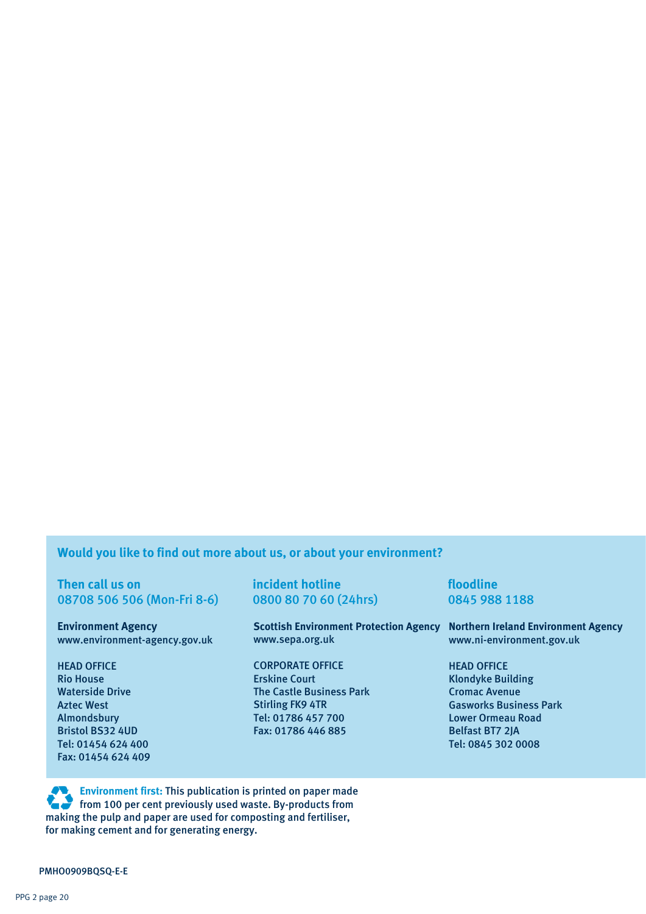## **Would you like to find out more about us, or about your environment?**

**Then call us on incident hotline incident hotline floodline** 08708 506 506 (Mon-Fri 8-6) 0800 80 70 60 (24hrs) 0845 988 1188

**Environment Agency** www.environment-agency.gov.uk

HEAD OFFICE Rio House Waterside Drive Aztec West Almondsbury Bristol BS32 4UD Tel: 01454 624 400 Fax: 01454 624 409

**Scottish Environment Protection Agency Northern Ireland Environment Agency** www.sepa.org.uk

CORPORATE OFFICE Erskine Court The Castle Business Park Stirling FK9 4TR Tel: 01786 457 700 Fax: 01786 446 885

www.ni-environment.gov.uk

HEAD OFFICE Klondyke Building Cromac Avenue Gasworks Business Park Lower Ormeau Road Belfast BT7 2JA Tel: 0845 302 0008

**Environment first:** This publication is printed on paper made **from 100 per cent previously used waste. By-products from**  making the pulp and paper are used for composting and fertiliser, for making cement and for generating energy.

PMHO0909BQSQ-E-E